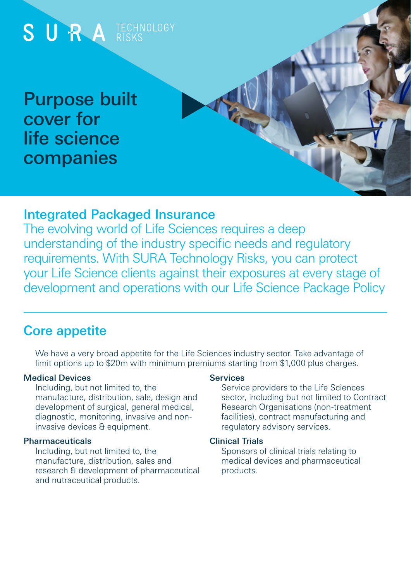

## Integrated Packaged Insurance

The evolving world of Life Sciences requires a deep understanding of the industry specific needs and regulatory requirements. With SURA Technology Risks, you can protect your Life Science clients against their exposures at every stage of development and operations with our Life Science Package Policy

## Core appetite

We have a very broad appetite for the Life Sciences industry sector. Take advantage of limit options up to \$20m with minimum premiums starting from \$1,000 plus charges.

#### Medical Devices

Including, but not limited to, the manufacture, distribution, sale, design and development of surgical, general medical, diagnostic, monitoring, invasive and noninvasive devices & equipment.

### Pharmaceuticals

Including, but not limited to, the manufacture, distribution, sales and research & development of pharmaceutical and nutraceutical products.

### Services

Service providers to the Life Sciences sector, including but not limited to Contract Research Organisations (non-treatment facilities), contract manufacturing and regulatory advisory services.

### Clinical Trials

Sponsors of clinical trials relating to medical devices and pharmaceutical products.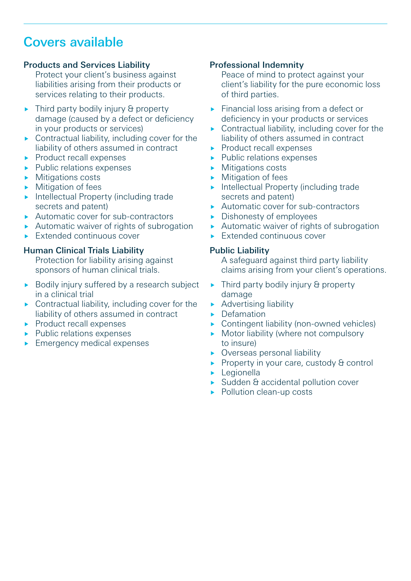# Covers available

### Products and Services Liability

Protect your client's business against liabilities arising from their products or services relating to their products.

- $\triangleright$  Third party bodily injury & property damage (caused by a defect or deficiency in your products or services)
- ▶ Contractual liability, including cover for the liability of others assumed in contract
- **Product recall expenses**
- $\blacktriangleright$  Public relations expenses
- **Mitigations costs**
- **Mitigation of fees**
- **Intellectual Property (including trade** secrets and patent)
- ▶ Automatic cover for sub-contractors
- Automatic waiver of rights of subrogation
- **Extended continuous cover**

### Human Clinical Trials Liability

Protection for liability arising against sponsors of human clinical trials.

- Bodily injury suffered by a research subject in a clinical trial
- $\triangleright$  Contractual liability, including cover for the liability of others assumed in contract
- Product recall expenses
- Public relations expenses
- **Emergency medical expenses**

#### Professional Indemnity

Peace of mind to protect against your client's liability for the pure economic loss of third parties.

- **Financial loss arising from a defect or** deficiency in your products or services
- ▶ Contractual liability, including cover for the liability of others assumed in contract
- Product recall expenses
- **Public relations expenses**
- **Mitigations costs**
- Mitigation of fees
- **Intellectual Property (including trade** secrets and patent)
- Automatic cover for sub-contractors
- Dishonesty of employees
- Automatic waiver of rights of subrogation
- $\blacktriangleright$  Extended continuous cover

#### Public Liability

A safeguard against third party liability claims arising from your client's operations.

- $\blacktriangleright$  Third party bodily injury & property damage
- **Advertising liability**
- Defamation
- ▶ Contingent liability (non-owned vehicles)
- Motor liability (where not compulsory to insure)
- ▶ Overseas personal liability
- Property in your care, custody & control
- **Legionella**
- ▶ Sudden & accidental pollution cover
- ▶ Pollution clean-up costs